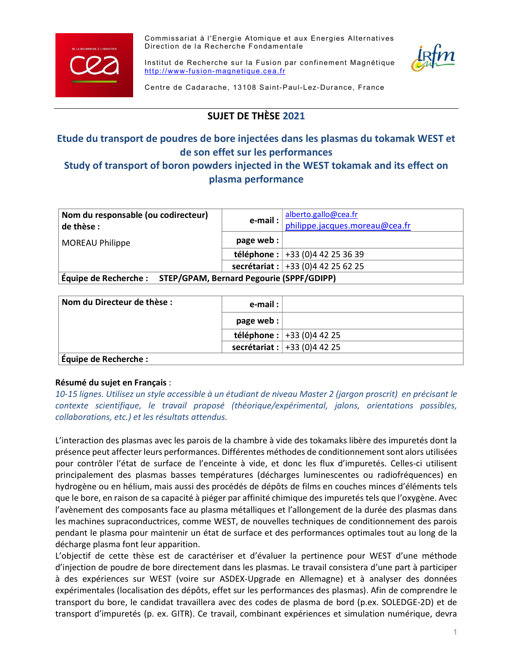

Commissariat à l'Energie Atomique et aux Energies Alternatives Direction de la Recherche Fondamentale



Institut de Recherche sur la Fusion par confinement Magnétique http://www-fusion-magnetique.cea.fr

Centre de Cadarache, 13108 Saint-Paul-Lez-Durance, France

# SUJET DE THÈSE 2021

# Etude du transport de poudres de bore injectées dans les plasmas du tokamak WEST et de son effet sur les performances

Study of transport of boron powders injected in the WEST tokamak and its effect on plasma performance

| Nom du responsable (ou codirecteur)<br>de thèse :                        | e-mail:   | alberto.gallo@cea.fr<br>philippe.jacques.moreau@cea.fr |
|--------------------------------------------------------------------------|-----------|--------------------------------------------------------|
| MOREAU Philippe                                                          | page web: |                                                        |
|                                                                          |           | téléphone : $+33(0)442253639$                          |
|                                                                          |           | secrétariat : $+33(0)442256225$                        |
| <b>STEP/GPAM, Bernard Pegourie (SPPF/GDIPP)</b><br>Équipe de Recherche : |           |                                                        |

| Nom du Directeur de thèse : | e-mail :  |                             |
|-----------------------------|-----------|-----------------------------|
|                             | page web: |                             |
|                             |           | téléphone : $+33(0)44225$   |
|                             |           | secrétariat : $+33(0)44225$ |
| Équipe de Recherche :       |           |                             |

## Résumé du sujet en Français :

10-15 lignes. Utilisez un style accessible à un étudiant de niveau Master 2 (jargon proscrit) en précisant le contexte scientifique, le travail proposé (théorique/expérimental, jalons, orientations possibles, collaborations, etc.) et les résultats attendus.

L'interaction des plasmas avec les parois de la chambre à vide des tokamaks libère des impuretés dont la présence peut affecter leurs performances. Différentes méthodes de conditionnement sont alors utilisées pour contrôler l'état de surface de l'enceinte à vide, et donc les flux d'impuretés. Celles-ci utilisent principalement des plasmas basses températures (décharges luminescentes ou radiofréquences) en hydrogène ou en hélium, mais aussi des procédés de dépôts de films en couches minces d'éléments tels que le bore, en raison de sa capacité à piéger par affinité chimique des impuretés tels que l'oxygène. Avec l'avènement des composants face au plasma métalliques et l'allongement de la durée des plasmas dans les machines supraconductrices, comme WEST, de nouvelles techniques de conditionnement des parois pendant le plasma pour maintenir un état de surface et des performances optimales tout au long de la décharge plasma font leur apparition.

L'objectif de cette thèse est de caractériser et d'évaluer la pertinence pour WEST d'une méthode d'injection de poudre de bore directement dans les plasmas. Le travail consistera d'une part à participer à des expériences sur WEST (voire sur ASDEX-Upgrade en Allemagne) et à analyser des données expérimentales (localisation des dépôts, effet sur les performances des plasmas). Afin de comprendre le transport du bore, le candidat travaillera avec des codes de plasma de bord (p.ex. SOLEDGE-2D) et de transport d'impuretés (p. ex. GITR). Ce travail, combinant expériences et simulation numérique, devra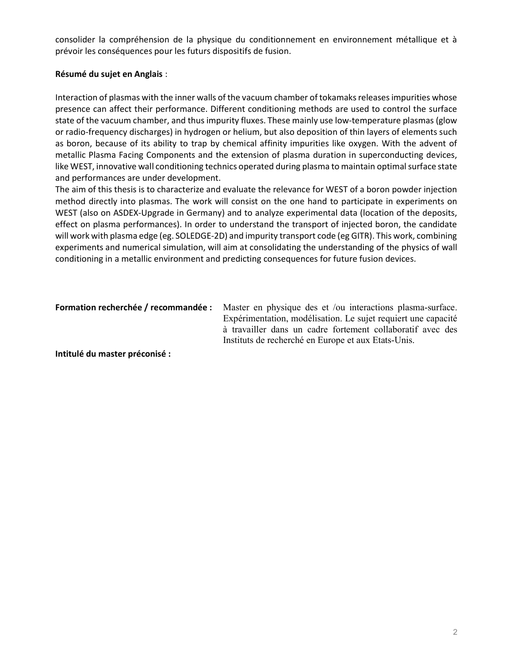consolider la compréhension de la physique du conditionnement en environnement métallique et à prévoir les conséquences pour les futurs dispositifs de fusion.

#### Résumé du sujet en Anglais :

Interaction of plasmas with the inner walls of the vacuum chamber of tokamaks releases impurities whose presence can affect their performance. Different conditioning methods are used to control the surface state of the vacuum chamber, and thus impurity fluxes. These mainly use low-temperature plasmas (glow or radio-frequency discharges) in hydrogen or helium, but also deposition of thin layers of elements such as boron, because of its ability to trap by chemical affinity impurities like oxygen. With the advent of metallic Plasma Facing Components and the extension of plasma duration in superconducting devices, like WEST, innovative wall conditioning technics operated during plasma to maintain optimal surface state and performances are under development.

The aim of this thesis is to characterize and evaluate the relevance for WEST of a boron powder injection method directly into plasmas. The work will consist on the one hand to participate in experiments on WEST (also on ASDEX-Upgrade in Germany) and to analyze experimental data (location of the deposits, effect on plasma performances). In order to understand the transport of injected boron, the candidate will work with plasma edge (eg. SOLEDGE-2D) and impurity transport code (eg GITR). This work, combining experiments and numerical simulation, will aim at consolidating the understanding of the physics of wall conditioning in a metallic environment and predicting consequences for future fusion devices.

| Formation recherchée / recommandée : Master en physique des et /ou interactions plasma-surface. |
|-------------------------------------------------------------------------------------------------|
| Expérimentation, modélisation. Le sujet requiert une capacité                                   |
| à travailler dans un cadre fortement collaboratif avec des                                      |
| Instituts de recherché en Europe et aux Etats-Unis.                                             |
|                                                                                                 |

Intitulé du master préconisé :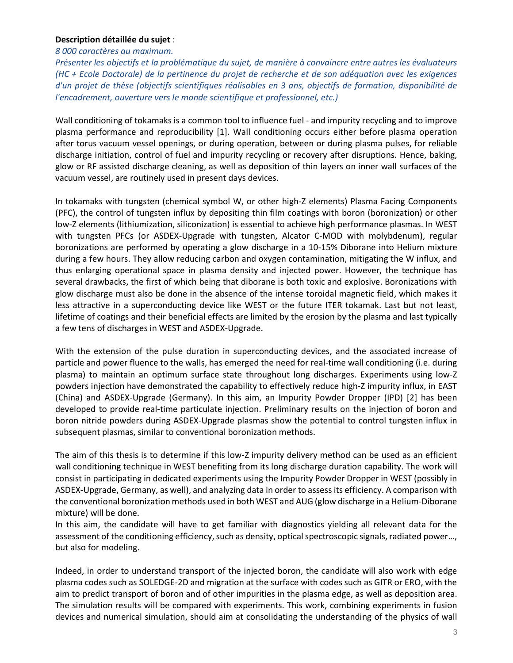#### Description détaillée du sujet :

8 000 caractères au maximum.

Présenter les objectifs et la problématique du sujet, de manière à convaincre entre autres les évaluateurs (HC + Ecole Doctorale) de la pertinence du projet de recherche et de son adéquation avec les exigences d'un projet de thèse (objectifs scientifiques réalisables en 3 ans, objectifs de formation, disponibilité de l'encadrement, ouverture vers le monde scientifique et professionnel, etc.)

Wall conditioning of tokamaks is a common tool to influence fuel - and impurity recycling and to improve plasma performance and reproducibility [1]. Wall conditioning occurs either before plasma operation after torus vacuum vessel openings, or during operation, between or during plasma pulses, for reliable discharge initiation, control of fuel and impurity recycling or recovery after disruptions. Hence, baking, glow or RF assisted discharge cleaning, as well as deposition of thin layers on inner wall surfaces of the vacuum vessel, are routinely used in present days devices.

In tokamaks with tungsten (chemical symbol W, or other high-Z elements) Plasma Facing Components (PFC), the control of tungsten influx by depositing thin film coatings with boron (boronization) or other low-Z elements (lithiumization, siliconization) is essential to achieve high performance plasmas. In WEST with tungsten PFCs (or ASDEX-Upgrade with tungsten, Alcator C-MOD with molybdenum), regular boronizations are performed by operating a glow discharge in a 10-15% Diborane into Helium mixture during a few hours. They allow reducing carbon and oxygen contamination, mitigating the W influx, and thus enlarging operational space in plasma density and injected power. However, the technique has several drawbacks, the first of which being that diborane is both toxic and explosive. Boronizations with glow discharge must also be done in the absence of the intense toroidal magnetic field, which makes it less attractive in a superconducting device like WEST or the future ITER tokamak. Last but not least, lifetime of coatings and their beneficial effects are limited by the erosion by the plasma and last typically a few tens of discharges in WEST and ASDEX-Upgrade.

With the extension of the pulse duration in superconducting devices, and the associated increase of particle and power fluence to the walls, has emerged the need for real-time wall conditioning (i.e. during plasma) to maintain an optimum surface state throughout long discharges. Experiments using low-Z powders injection have demonstrated the capability to effectively reduce high-Z impurity influx, in EAST (China) and ASDEX-Upgrade (Germany). In this aim, an Impurity Powder Dropper (IPD) [2] has been developed to provide real-time particulate injection. Preliminary results on the injection of boron and boron nitride powders during ASDEX-Upgrade plasmas show the potential to control tungsten influx in subsequent plasmas, similar to conventional boronization methods.

The aim of this thesis is to determine if this low-Z impurity delivery method can be used as an efficient wall conditioning technique in WEST benefiting from its long discharge duration capability. The work will consist in participating in dedicated experiments using the Impurity Powder Dropper in WEST (possibly in ASDEX-Upgrade, Germany, as well), and analyzing data in order to assess its efficiency. A comparison with the conventional boronization methods used in both WEST and AUG (glow discharge in a Helium-Diborane mixture) will be done.

In this aim, the candidate will have to get familiar with diagnostics yielding all relevant data for the assessment of the conditioning efficiency, such as density, optical spectroscopic signals, radiated power…, but also for modeling.

Indeed, in order to understand transport of the injected boron, the candidate will also work with edge plasma codes such as SOLEDGE-2D and migration at the surface with codes such as GITR or ERO, with the aim to predict transport of boron and of other impurities in the plasma edge, as well as deposition area. The simulation results will be compared with experiments. This work, combining experiments in fusion devices and numerical simulation, should aim at consolidating the understanding of the physics of wall